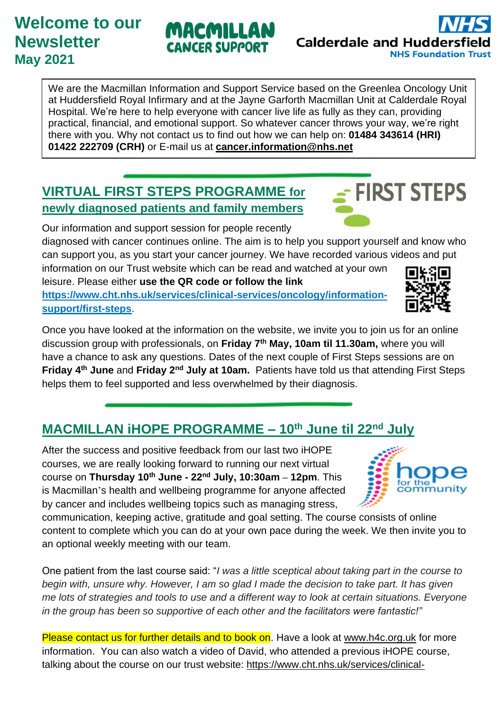## **Welcome to our Newsletter May 2021**

We are the Macmillan Information and Support Service based on the Greenlea Oncology Unit at Huddersfield Royal Infirmary and at the Jayne Garforth Macmillan Unit at Calderdale Royal Hospital. We're here to help everyone with cancer live life as fully as they can, providing practical, financial, and emotional support. So whatever cancer throws your way, we're right there with you. Why not contact us to find out how we can help on: **01484 343614 (HRI) 01422 222709 (CRH)** or E-mail us at **[cancer.information@nhs.net](mailto:cancer.information@nhs.net)**

## **VIRTUAL FIRST STEPS PROGRAMME for newly diagnosed patients and family members**

Our information and support session for people recently diagnosed with cancer continues online. The aim is to help you support yourself and know who can support you, as you start your cancer journey. We have recorded various videos and put

information on our Trust website which can be read and watched at your own leisure. Please either **use the QR code or follow the link** 

**[https://www.cht.nhs.uk/services/clinical-services/oncology/information](https://www.cht.nhs.uk/services/clinical-services/oncology/information-support/first-steps)[support/first-steps](https://www.cht.nhs.uk/services/clinical-services/oncology/information-support/first-steps)**.

Once you have looked at the information on the website, we invite you to join us for an online discussion group with professionals, on **Friday 7 th May, 10am til 11.30am,** where you will have a chance to ask any questions. Dates of the next couple of First Steps sessions are on **Friday 4 th June** and **Friday 2nd July at 10am.** Patients have told us that attending First Steps helps them to feel supported and less overwhelmed by their diagnosis.

## **MACMILLAN iHOPE PROGRAMME – 10th June til 22nd July**

After the success and positive feedback from our last two iHOPE courses, we are really looking forward to running our next virtual course on **Thursday 10th June - 22nd July, 10:30am – 12pm**. This is Macmillan's health and wellbeing programme for anyone affected by cancer and includes wellbeing topics such as managing stress,

communication, keeping active, gratitude and goal setting. The course consists of online content to complete which you can do at your own pace during the week. We then invite you to an optional weekly meeting with our team.

One patient from the last course said: "*I was a little sceptical about taking part in the course to begin with, unsure why. However, I am so glad I made the decision to take part. It has given me lots of strategies and tools to use and a different way to look at certain situations. Everyone in the group has been so supportive of each other and the facilitators were fantastic!"*

Please contact us for further details and to book on. Have a look at [www.h4c.org.uk](http://www.h4c.org.uk/) for more information. You can also watch a video of David, who attended a previous iHOPE course, talking about the course on our trust website: [https://www.cht.nhs.uk/services/clinical-](https://www.cht.nhs.uk/services/clinical-services/oncology/information-support/health-and-wellbeing-programme/ihope-help-overcoming-problems-effectively)





**FIRST STEPS** 



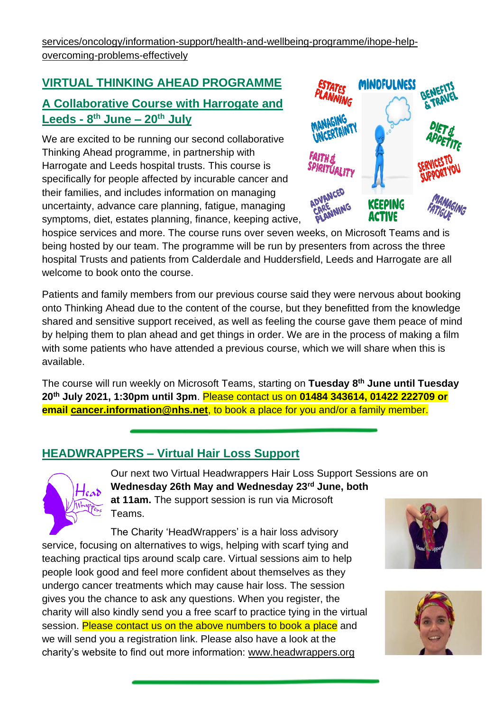## **VIRTUAL THINKING AHEAD PROGRAMME A Collaborative Course with Harrogate and Leeds - 8 th June – 20th July**

We are excited to be running our second collaborative Thinking Ahead programme, in partnership with Harrogate and Leeds hospital trusts. This course is specifically for people affected by incurable cancer and their families, and includes information on managing uncertainty, advance care planning, fatigue, managing symptoms, diet, estates planning, finance, keeping active,



hospice services and more. The course runs over seven weeks, on Microsoft Teams and is being hosted by our team. The programme will be run by presenters from across the three hospital Trusts and patients from Calderdale and Huddersfield, Leeds and Harrogate are all welcome to book onto the course.

Patients and family members from our previous course said they were nervous about booking onto Thinking Ahead due to the content of the course, but they benefitted from the knowledge shared and sensitive support received, as well as feeling the course gave them peace of mind by helping them to plan ahead and get things in order. We are in the process of making a film with some patients who have attended a previous course, which we will share when this is available.

The course will run weekly on Microsoft Teams, starting on **Tuesday 8th June until Tuesday 20th July 2021, 1:30pm until 3pm**. Please contact us on **01484 343614, 01422 222709 or email [cancer.information@nhs.net](mailto:cancer.information@nhs.net)**, to book a place for you and/or a family member.

### **HEADWRAPPERS – Virtual Hair Loss Support**



Our next two Virtual Headwrappers Hair Loss Support Sessions are on **Wednesday 26th May and Wednesday 23rd June, both at 11am.** The support session is run via Microsoft Teams.

The Charity 'HeadWrappers' is a hair loss advisory service, focusing on alternatives to wigs, helping with scarf tying and teaching practical tips around scalp care. Virtual sessions aim to help people look good and feel more confident about themselves as they undergo cancer treatments which may cause hair loss. The session gives you the chance to ask any questions. When you register, the charity will also kindly send you a free scarf to practice tying in the virtual session. Please contact us on the above numbers to book a place and we will send you a registration link. Please also have a look at the charity's website to find out more information: [www.headwrappers.org](http://www.headwrappers.org/)



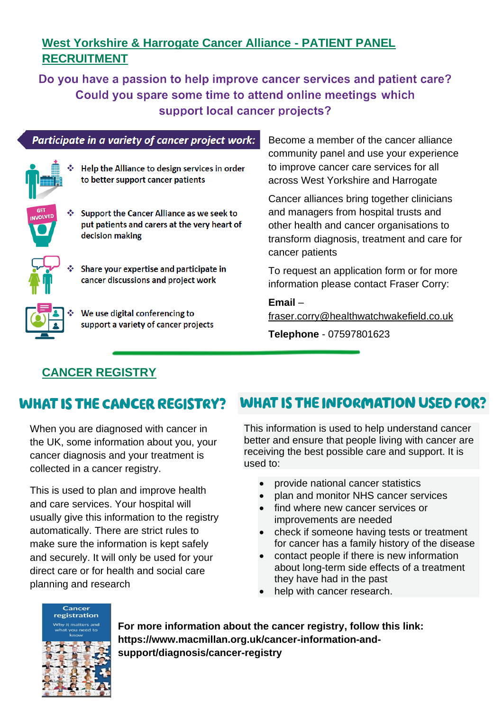### **West Yorkshire & Harrogate Cancer Alliance - PATIENT PANEL RECRUITMENT**

Do you have a passion to help improve cancer services and patient care? Could you spare some time to attend online meetings which support local cancer projects?

Participate in a variety of cancer project work:



Help the Alliance to design services in order to better support cancer patients

♦ Support the Cancer Alliance as we seek to put patients and carers at the very heart of

- 
- Share your expertise and participate in cancer discussions and project work



We use digital conferencing to support a variety of cancer projects

Become a member of the cancer alliance community panel and use your experience to improve cancer care services for all across West Yorkshire and Harrogate

Cancer alliances bring together clinicians and managers from hospital trusts and other health and cancer organisations to transform diagnosis, treatment and care for cancer patients

To request an application form or for more information please contact Fraser Corry:

**Email** – [fraser.corry@healthwatchwakefield.co.uk](mailto:fraser.corry@healthwatchwakefield.co.uk)

**Telephone** - 07597801623

## **CANCER REGISTRY**

decision making

## WHAT IS THE CANCER REGISTRY?

When you are diagnosed with cancer in the UK, some information about you, your cancer diagnosis and your treatment is collected in a cancer registry.

This is used to plan and improve health and care services. Your hospital will usually give this information to the registry automatically. There are strict rules to make sure the information is kept safely and securely. It will only be used for your direct care or for health and social care planning and research

## **WHAT IS THE INFORMATION USED FOR?**

This information is used to help understand cancer better and ensure that people living with cancer are receiving the best possible care and support. It is used to:

- provide national cancer statistics
- plan and monitor NHS cancer services
- find where new cancer services or improvements are needed
- check if someone having tests or treatment for cancer has a family history of the disease
- contact people if there is new information about long-term side effects of a treatment they have had in the past
- help with cancer research.



**For more information about the cancer registry, follow this link: https://www.macmillan.org.uk/cancer-information-andsupport/diagnosis/cancer-registry**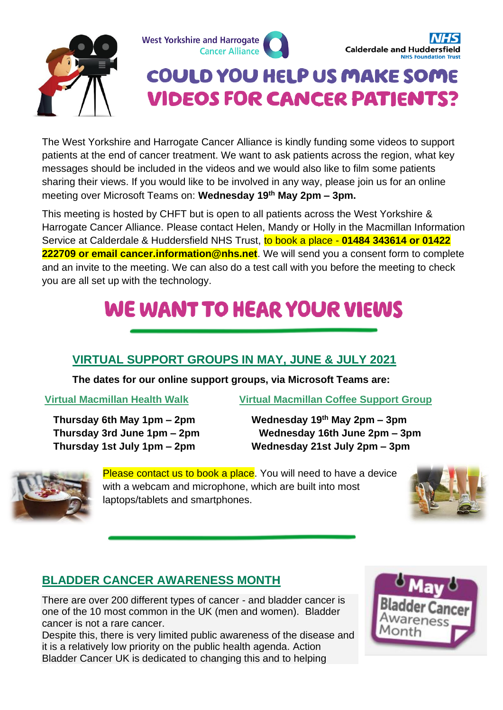



## COULD YOU HELP US MAKE SOME **VIDEOS FOR CANCER PATIENTS?**

The West Yorkshire and Harrogate Cancer Alliance is kindly funding some videos to support patients at the end of cancer treatment. We want to ask patients across the region, what key messages should be included in the videos and we would also like to film some patients sharing their views. If you would like to be involved in any way, please join us for an online meeting over Microsoft Teams on: **Wednesday 19th May 2pm – 3pm.**

This meeting is hosted by CHFT but is open to all patients across the West Yorkshire & Harrogate Cancer Alliance. Please contact Helen, Mandy or Holly in the Macmillan Information Service at Calderdale & Huddersfield NHS Trust, to book a place - **01484 343614 or 01422 222709 or email cancer.information@nhs.net**. We will send you a consent form to complete and an invite to the meeting. We can also do a test call with you before the meeting to check you are all set up with the technology.

# **WE WANT TO HEAR YOUR VIEWS**

### **VIRTUAL SUPPORT GROUPS IN MAY, JUNE & JULY 2021**

**The dates for our online support groups, via Microsoft Teams are:** 

**Virtual Macmillan Health Walk Virtual Macmillan Coffee Support Group** 

 **Thursday 6th May 1pm – 2pm Wednesday 19th May 2pm – 3pm Thursday 3rd June 1pm – 2pm Wednesday 16th June 2pm – 3pm Thursday 1st July 1pm – 2pm Wednesday 21st July 2pm – 3pm**



Please contact us to book a place. You will need to have a device with a webcam and microphone, which are built into most laptops/tablets and smartphones.



## **BLADDER CANCER AWARENESS MONTH**

There are over 200 different types of cancer - and bladder cancer is one of the 10 most common in the UK (men and women). Bladder cancer is not a rare cancer.

Despite this, there is very limited public awareness of the disease and it is a relatively low priority on the public health agenda. Action Bladder Cancer UK is dedicated to changing this and to helping

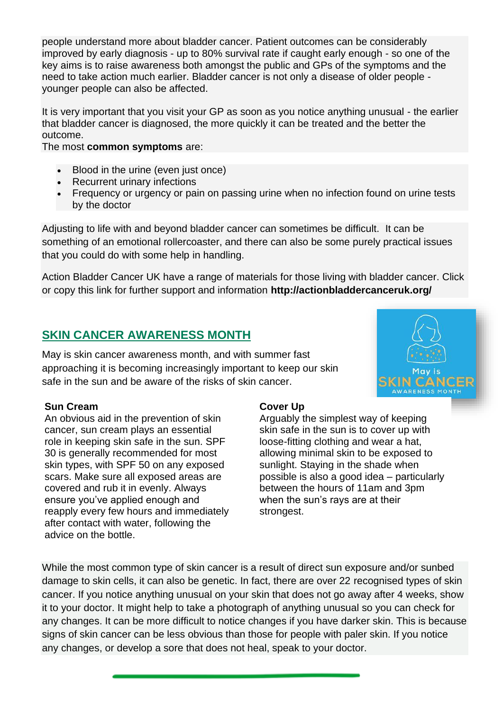people understand more about bladder cancer. Patient outcomes can be considerably improved by early diagnosis - up to 80% survival rate if caught early enough - so one of the key aims is to raise awareness both amongst the public and GPs of the symptoms and the need to take action much earlier. Bladder cancer is not only a disease of older people younger people can also be affected.

It is very important that you visit your GP as soon as you notice anything unusual - the earlier that bladder cancer is diagnosed, the more quickly it can be treated and the better the outcome.

The most **common symptoms** are:

- Blood in the urine (even just once)
- Recurrent urinary infections
- Frequency or urgency or pain on passing urine when no infection found on urine tests by the doctor

Adjusting to life with and beyond bladder cancer can sometimes be difficult. It can be something of an emotional rollercoaster, and there can also be some purely practical issues that you could do with some help in handling.

Action Bladder Cancer UK have a range of materials for those living with bladder cancer. Click or copy this link for further support and information **http://actionbladdercanceruk.org/**

### **SKIN CANCER AWARENESS MONTH**

May is skin cancer awareness month, and with summer fast approaching it is becoming increasingly important to keep our skin safe in the sun and be aware of the risks of skin cancer.



### **Sun Cream**

An obvious aid in the prevention of skin cancer, sun cream plays an essential role in keeping skin safe in the sun. SPF 30 is generally recommended for most skin types, with SPF 50 on any exposed scars. Make sure all exposed areas are covered and rub it in evenly. Always ensure you've applied enough and reapply every few hours and immediately after contact with water, following the advice on the bottle.

### **Cover Up**

Arguably the simplest way of keeping skin safe in the sun is to cover up with loose-fitting clothing and wear a hat, allowing minimal skin to be exposed to sunlight. Staying in the shade when possible is also a good idea – particularly between the hours of 11am and 3pm when the sun's rays are at their strongest.

While the most common type of skin cancer is a result of direct sun exposure and/or sunbed damage to skin cells, it can also be genetic. In fact, there are over 22 recognised types of skin cancer. If you notice anything unusual on your skin that does not go away after 4 weeks, show it to your doctor. It might help to take a photograph of anything unusual so you can check for any changes. It can be more difficult to notice changes if you have darker skin. This is because signs of skin cancer can be less obvious than those for people with paler skin. If you notice any changes, or develop a sore that does not heal, speak to your doctor.